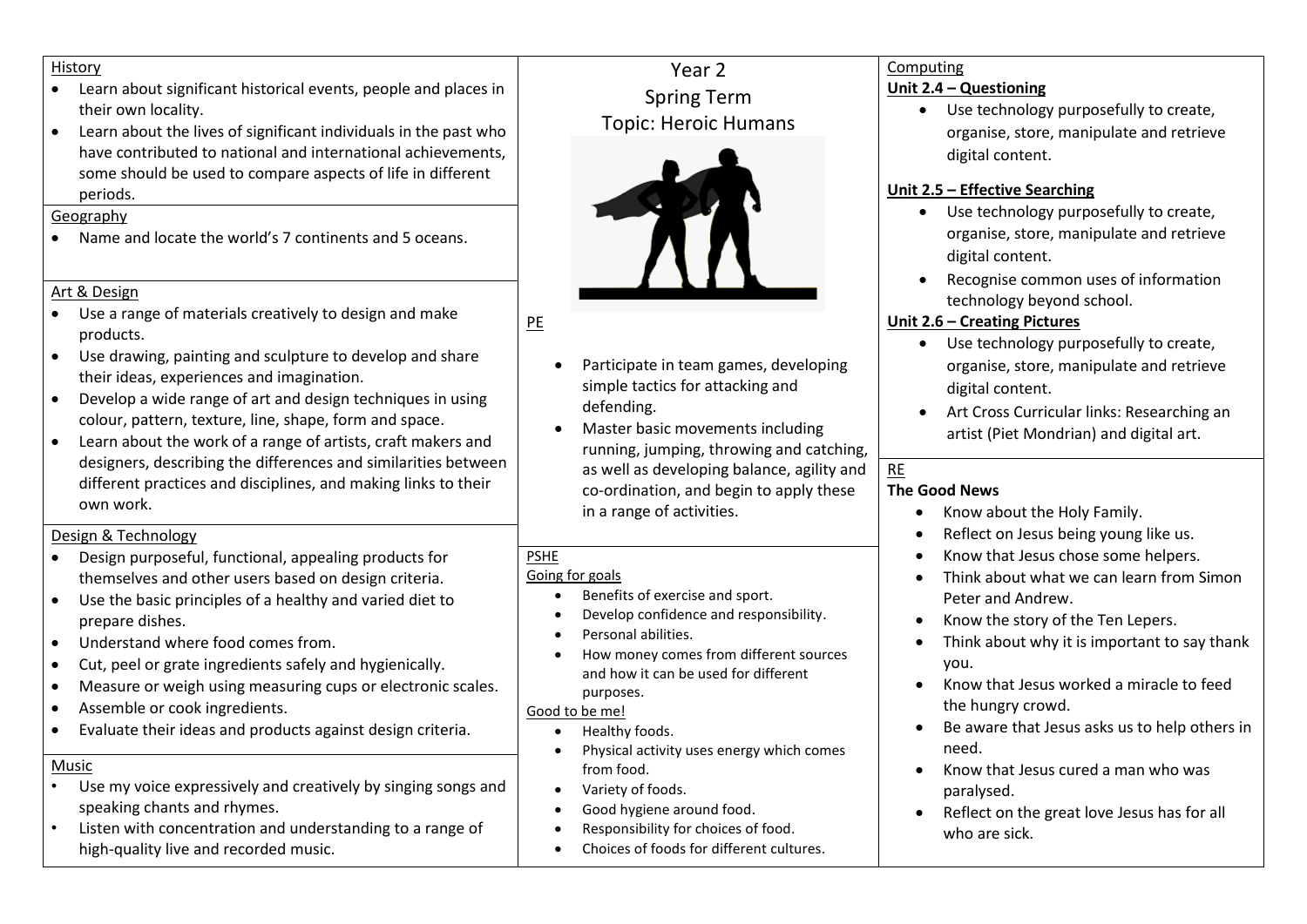#### History

- Learn about significant historical events, people and places in their own locality.
- Learn about the lives of significant individuals in the past who have contributed to national and international achievements, some should be used to compare aspects of life in different periods.

#### Geography

• Name and locate the world's 7 continents and 5 oceans.

#### Art & Design

- Use a range of materials creatively to design and make products.
- Use drawing, painting and sculpture to develop and share their ideas, experiences and imagination.
- Develop a wide range of art and design techniques in using colour, pattern, texture, line, shape, form and space.
- Learn about the work of a range of artists, craft makers and designers, describing the differences and similarities between different practices and disciplines, and making links to their own work.

## Design & Technology

- Design purposeful, functional, appealing products for themselves and other users based on design criteria.
- Use the basic principles of a healthy and varied diet to prepare dishes.
- Understand where food comes from.
- Cut, peel or grate ingredients safely and hygienically.
- Measure or weigh using measuring cups or electronic scales.
- Assemble or cook ingredients.
- Evaluate their ideas and products against design criteria.

### Music

- Use my voice expressively and creatively by singing songs and speaking chants and rhymes.
- Listen with concentration and understanding to a range of high-quality live and recorded music.

# Year 2 Spring Term Topic: Heroic Humans



# PE

- Participate in team games, developing simple tactics for attacking and defending.
- Master basic movements including running, jumping, throwing and catching, as well as developing balance, agility and co-ordination, and begin to apply these in a range of activities.

# PSHE

### Going for goals

- Benefits of exercise and sport.
- Develop confidence and responsibility.
- Personal abilities.
- How money comes from different sources and how it can be used for different purposes.

### Good to be me!

- Healthy foods.
- Physical activity uses energy which comes from food.
- Variety of foods.
- Good hygiene around food.
- Responsibility for choices of food.
- Choices of foods for different cultures.

#### Computing **Unit 2.4 – Questioning**

• Use technology purposefully to create, organise, store, manipulate and retrieve digital content.

## **Unit 2.5 – Effective Searching**

- Use technology purposefully to create, organise, store, manipulate and retrieve digital content.
- Recognise common uses of information technology beyond school.

# **Unit 2.6 – Creating Pictures**

- Use technology purposefully to create, organise, store, manipulate and retrieve digital content.
- Art Cross Curricular links: Researching an artist (Piet Mondrian) and digital art.

#### RE **The Good News**

- Know about the Holy Family.
- Reflect on Jesus being young like us.
- Know that Jesus chose some helpers.
- Think about what we can learn from Simon Peter and Andrew.
- Know the story of the Ten Lepers.
- Think about why it is important to say thank you.
- Know that Jesus worked a miracle to feed the hungry crowd.
- Be aware that Jesus asks us to help others in need.
- Know that Jesus cured a man who was paralysed.
- Reflect on the great love Jesus has for all who are sick.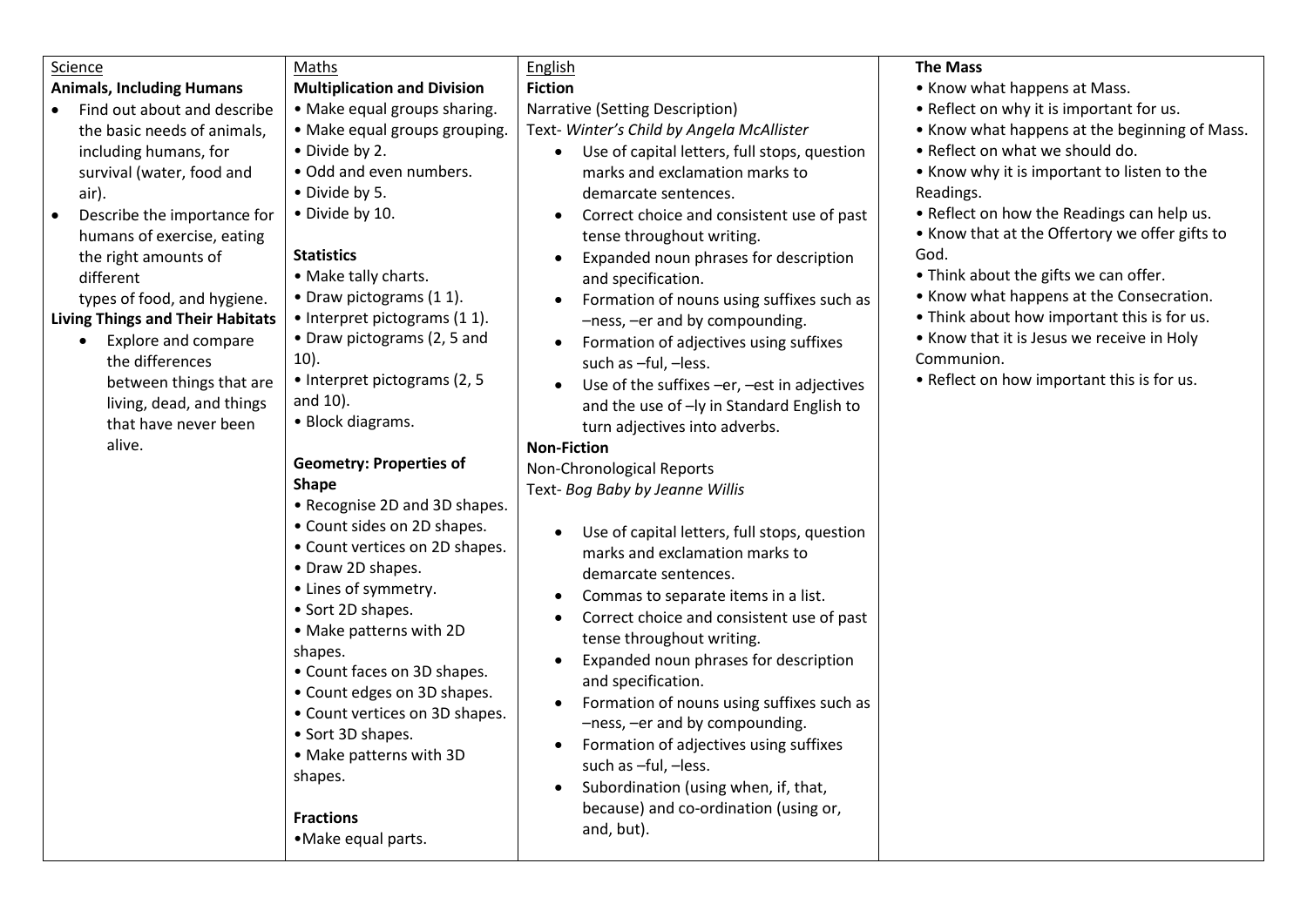| Science                                                                                                                                                                                                                                                                                                                                                                                                                                                      | Maths                                                                                                                                                                                                                                                                                                                                                                                                                                                                                                                                                                                                                                                                                                                                                                                                                                 | English                                                                                                                                                                                                                                                                                                                                                                                                                                                                                                                                                                                                                                                                                                                                                                                                                                                                                                                                                                                                                                                                                                                                                                                                                                                                              | <b>The Mass</b>                                                                                                                                                                                                                                                                                                                                                                                                                                                                                                                                |
|--------------------------------------------------------------------------------------------------------------------------------------------------------------------------------------------------------------------------------------------------------------------------------------------------------------------------------------------------------------------------------------------------------------------------------------------------------------|---------------------------------------------------------------------------------------------------------------------------------------------------------------------------------------------------------------------------------------------------------------------------------------------------------------------------------------------------------------------------------------------------------------------------------------------------------------------------------------------------------------------------------------------------------------------------------------------------------------------------------------------------------------------------------------------------------------------------------------------------------------------------------------------------------------------------------------|--------------------------------------------------------------------------------------------------------------------------------------------------------------------------------------------------------------------------------------------------------------------------------------------------------------------------------------------------------------------------------------------------------------------------------------------------------------------------------------------------------------------------------------------------------------------------------------------------------------------------------------------------------------------------------------------------------------------------------------------------------------------------------------------------------------------------------------------------------------------------------------------------------------------------------------------------------------------------------------------------------------------------------------------------------------------------------------------------------------------------------------------------------------------------------------------------------------------------------------------------------------------------------------|------------------------------------------------------------------------------------------------------------------------------------------------------------------------------------------------------------------------------------------------------------------------------------------------------------------------------------------------------------------------------------------------------------------------------------------------------------------------------------------------------------------------------------------------|
| <b>Animals, Including Humans</b>                                                                                                                                                                                                                                                                                                                                                                                                                             | <b>Multiplication and Division</b>                                                                                                                                                                                                                                                                                                                                                                                                                                                                                                                                                                                                                                                                                                                                                                                                    | <b>Fiction</b>                                                                                                                                                                                                                                                                                                                                                                                                                                                                                                                                                                                                                                                                                                                                                                                                                                                                                                                                                                                                                                                                                                                                                                                                                                                                       | • Know what happens at Mass.                                                                                                                                                                                                                                                                                                                                                                                                                                                                                                                   |
| Find out about and describe<br>the basic needs of animals,<br>including humans, for<br>survival (water, food and<br>air).<br>Describe the importance for<br>humans of exercise, eating<br>the right amounts of<br>different<br>types of food, and hygiene.<br><b>Living Things and Their Habitats</b><br><b>Explore and compare</b><br>$\bullet$<br>the differences<br>between things that are<br>living, dead, and things<br>that have never been<br>alive. | • Make equal groups sharing.<br>• Make equal groups grouping.<br>• Divide by 2.<br>. Odd and even numbers.<br>• Divide by 5.<br>• Divide by 10.<br><b>Statistics</b><br>• Make tally charts.<br>• Draw pictograms (11).<br>• Interpret pictograms (1 1).<br>• Draw pictograms (2, 5 and<br>$10$ ).<br>• Interpret pictograms (2, 5<br>and 10).<br>• Block diagrams.<br><b>Geometry: Properties of</b><br><b>Shape</b><br>• Recognise 2D and 3D shapes.<br>• Count sides on 2D shapes.<br>• Count vertices on 2D shapes.<br>• Draw 2D shapes.<br>• Lines of symmetry.<br>• Sort 2D shapes.<br>• Make patterns with 2D<br>shapes.<br>• Count faces on 3D shapes.<br>• Count edges on 3D shapes.<br>• Count vertices on 3D shapes.<br>• Sort 3D shapes.<br>• Make patterns with 3D<br>shapes.<br><b>Fractions</b><br>• Make equal parts. | Narrative (Setting Description)<br>Text- Winter's Child by Angela McAllister<br>Use of capital letters, full stops, question<br>marks and exclamation marks to<br>demarcate sentences.<br>Correct choice and consistent use of past<br>tense throughout writing.<br>Expanded noun phrases for description<br>and specification.<br>Formation of nouns using suffixes such as<br>-ness, -er and by compounding.<br>Formation of adjectives using suffixes<br>$\bullet$<br>such as -ful, -less.<br>Use of the suffixes -er, -est in adjectives<br>and the use of -ly in Standard English to<br>turn adjectives into adverbs.<br><b>Non-Fiction</b><br>Non-Chronological Reports<br>Text- Bog Baby by Jeanne Willis<br>Use of capital letters, full stops, question<br>marks and exclamation marks to<br>demarcate sentences.<br>Commas to separate items in a list.<br>$\bullet$<br>Correct choice and consistent use of past<br>tense throughout writing.<br>Expanded noun phrases for description<br>and specification.<br>Formation of nouns using suffixes such as<br>$\bullet$<br>-ness, -er and by compounding.<br>Formation of adjectives using suffixes<br>such as -ful, -less.<br>Subordination (using when, if, that,<br>because) and co-ordination (using or,<br>and, but). | • Reflect on why it is important for us.<br>• Know what happens at the beginning of Mass.<br>• Reflect on what we should do.<br>• Know why it is important to listen to the<br>Readings.<br>• Reflect on how the Readings can help us.<br>• Know that at the Offertory we offer gifts to<br>God.<br>• Think about the gifts we can offer.<br>• Know what happens at the Consecration.<br>• Think about how important this is for us.<br>• Know that it is Jesus we receive in Holy<br>Communion.<br>• Reflect on how important this is for us. |